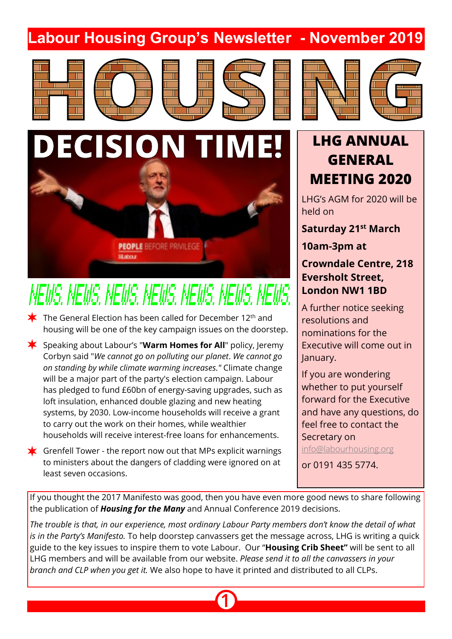# **Labour Housing Group's Newsletter - November 2019**





 $\blacktriangleright$  The General Election has been called for December 12<sup>th</sup> and

**DECISION TIME!**

housing will be one of the key campaign issues on the doorstep.

� Speaking about Labour's "**Warm Homes for All**" policy, Jeremy Corbyn said "*We cannot go on polluting our planet*. *We cannot go on standing by while climate warming increases."* Climate change will be a major part of the party's election campaign. Labour has pledged to fund £60bn of energy-saving upgrades, such as

**PEOPLE BEFORE PRIVILEGE** 

NEWS, HEWS, HEWS, HEWS, HEWS, HEWS, HEWS,

**SE about** 

loft insulation, enhanced double glazing and new heating systems, by 2030. Low-income households will receive a grant

households will receive interest-free loans for enhancements.

 $\bigstar$  Grenfell Tower - the report now out that MPs explicit warnings to ministers about the dangers of cladding were ignored on at

to carry out the work on their homes, while wealthier

least seven occasions.









# **LHG ANNUAL GENERAL MEETING 2020**

LHG's AGM for 2020 will be held on

**Saturday 21st March**

## **10am-3pm at**

## **Crowndale Centre, 218 Eversholt Street, London NW1 1BD**

A further notice seeking resolutions and nominations for the Executive will come out in January.

If you are wondering whether to put yourself forward for the Executive and have any questions, do feel free to contact the Secretary on

<info@labourhousing.org>

or 0191 435 5774.

If you thought the 2017 Manifesto was good, then you have even more good news to share following the publication of *Housing for the Many* and Annual Conference 2019 decisions.

*The trouble is that, in our experience, most ordinary Labour Party members don't know the detail of what is in the Party's Manifesto.* To help doorstep canvassers get the message across, LHG is writing a quick guide to the key issues to inspire them to vote Labour. Our "**Housing Crib Sheet"** will be sent to all LHG members and will be available from our website. *Please send it to all the canvassers in your branch and CLP when you get it.* We also hope to have it printed and distributed to all CLPs.

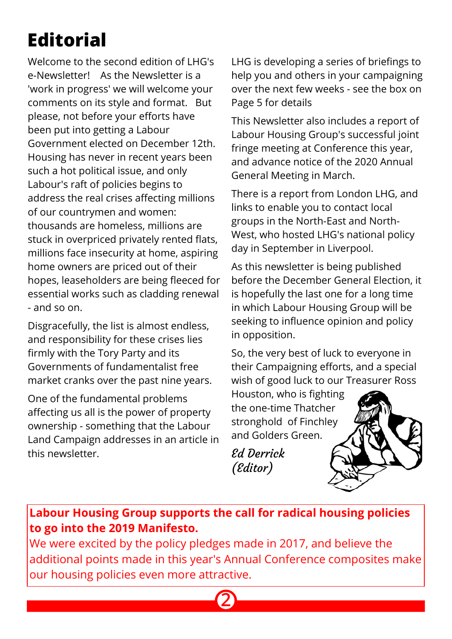# **Editorial**

Welcome to the second edition of LHG's e-Newsletter! As the Newsletter is a 'work in progress' we will welcome your comments on its style and format. But please, not before your efforts have been put into getting a Labour Government elected on December 12th. Housing has never in recent years been such a hot political issue, and only Labour's raft of policies begins to address the real crises affecting millions of our countrymen and women: thousands are homeless, millions are stuck in overpriced privately rented flats, millions face insecurity at home, aspiring home owners are priced out of their hopes, leaseholders are being fleeced for essential works such as cladding renewal - and so on.

Disgracefully, the list is almost endless, and responsibility for these crises lies firmly with the Tory Party and its Governments of fundamentalist free market cranks over the past nine years.

One of the fundamental problems affecting us all is the power of property ownership - something that the Labour Land Campaign addresses in an article in this newsletter.

LHG is developing a series of briefings to help you and others in your campaigning over the next few weeks - see the box on Page 5 for details

This Newsletter also includes a report of Labour Housing Group's successful joint fringe meeting at Conference this year, and advance notice of the 2020 Annual General Meeting in March.

There is a report from London LHG, and links to enable you to contact local groups in the North-East and North-West, who hosted LHG's national policy day in September in Liverpool.

As this newsletter is being published before the December General Election, it is hopefully the last one for a long time in which Labour Housing Group will be seeking to influence opinion and policy in opposition.

So, the very best of luck to everyone in their Campaigning efforts, and a special wish of good luck to our Treasurer Ross

Houston, who is fighting the one-time Thatcher stronghold of Finchley and Golders Green.

Ed Derrick (Editor)



# **Labour Housing Group supports the call for radical housing policies to go into the 2019 Manifesto.**

We were excited by the policy pledges made in 2017, and believe the additional points made in this year's Annual Conference composites make our housing policies even more attractive.

**2**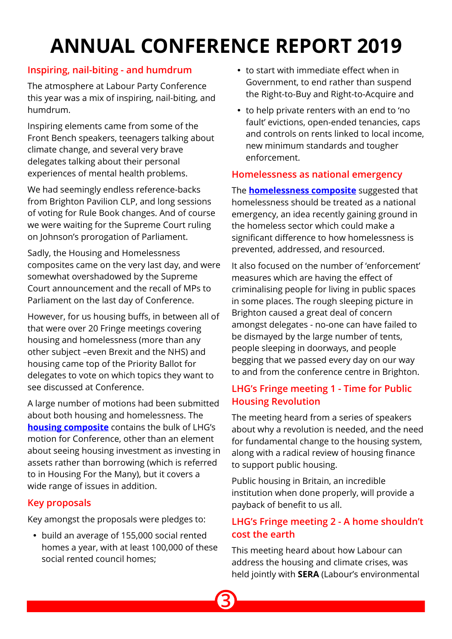# **ANNUAL CONFERENCE REPORT 2019**

### **Inspiring, nail-biting - and humdrum**

The atmosphere at Labour Party Conference this year was a mix of inspiring, nail-biting, and humdrum.

Inspiring elements came from some of the Front Bench speakers, teenagers talking about climate change, and several very brave delegates talking about their personal experiences of mental health problems.

We had seemingly endless reference-backs from Brighton Pavilion CLP, and long sessions of voting for Rule Book changes. And of course we were waiting for the Supreme Court ruling on Johnson's prorogation of Parliament.

Sadly, the Housing and Homelessness composites came on the very last day, and were somewhat overshadowed by the Supreme Court announcement and the recall of MPs to Parliament on the last day of Conference.

However, for us housing buffs, in between all of that were over 20 Fringe meetings covering housing and homelessness (more than any other subject –even Brexit and the NHS) and housing came top of the Priority Ballot for delegates to vote on which topics they want to see discussed at Conference.

A large number of motions had been submitted about both housing and homelessness. The **housing composite** contains the bulk of LHG's motion for Conference, other than an element about seeing housing investment as investing in assets rather than borrowing (which is referred to in Housing For the Many), but it covers a wide range of issues in addition.

### **Key proposals**

Key amongst the proposals were pledges to:

� build an average of 155,000 social rented homes a year, with at least 100,000 of these social rented council homes;

- � to start with immediate effect when in Government, to end rather than suspend the Right-to-Buy and Right-to-Acquire and
- � to help private renters with an end to 'no fault' evictions, open-ended tenancies, caps and controls on rents linked to local income, new minimum standards and tougher enforcement.

### **Homelessness as national emergency**

The **homelessness composite** suggested that homelessness should be treated as a national emergency, an idea recently gaining ground in the homeless sector which could make a significant difference to how homelessness is prevented, addressed, and resourced.

It also focused on the number of 'enforcement' measures which are having the effect of criminalising people for living in public spaces in some places. The rough sleeping picture in Brighton caused a great deal of concern amongst delegates - no-one can have failed to be dismayed by the large number of tents, people sleeping in doorways, and people begging that we passed every day on our way to and from the conference centre in Brighton.

## **LHG's Fringe meeting 1 - Time for Public Housing Revolution**

The meeting heard from a series of speakers about why a revolution is needed, and the need for fundamental change to the housing system, along with a radical review of housing finance to support public housing.

Public housing in Britain, an incredible institution when done properly, will provide a payback of benefit to us all.

## **LHG's Fringe meeting 2 - A home shouldn't cost the earth**

This meeting heard about how Labour can address the housing and climate crises, was held jointly with **SERA** (Labour's environmental

**3**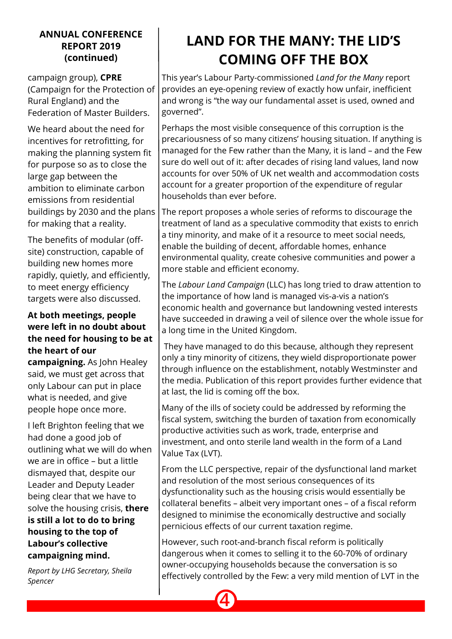#### **ANNUAL CONFERENCE REPORT 2019 (continued)**

campaign group), **CPRE** (Campaign for the Protection of Rural England) and the Federation of Master Builders.

We heard about the need for incentives for retrofitting, for making the planning system fit for purpose so as to close the large gap between the ambition to eliminate carbon emissions from residential buildings by 2030 and the plans for making that a reality.

The benefits of modular (offsite) construction, capable of building new homes more rapidly, quietly, and efficiently, to meet energy efficiency targets were also discussed.

#### **At both meetings, people were left in no doubt about the need for housing to be at the heart of our**

**campaigning.** As John Healey said, we must get across that only Labour can put in place what is needed, and give people hope once more.

I left Brighton feeling that we had done a good job of outlining what we will do when we are in office – but a little dismayed that, despite our Leader and Deputy Leader being clear that we have to solve the housing crisis, **there is still a lot to do to bring housing to the top of Labour's collective campaigning mind.**

*Report by LHG Secretary, Sheila Spencer*

# **LAND FOR THE MANY: THE LID'S COMING OFF THE BOX**

This year's Labour Party-commissioned *Land for the Many* report provides an eye-opening review of exactly how unfair, inefficient and wrong is "the way our fundamental asset is used, owned and governed".

Perhaps the most visible consequence of this corruption is the precariousness of so many citizens' housing situation. If anything is managed for the Few rather than the Many, it is land – and the Few sure do well out of it: after decades of rising land values, land now accounts for over 50% of UK net wealth and accommodation costs account for a greater proportion of the expenditure of regular households than ever before.

The report proposes a whole series of reforms to discourage the treatment of land as a speculative commodity that exists to enrich a tiny minority, and make of it a resource to meet social needs, enable the building of decent, affordable homes, enhance environmental quality, create cohesive communities and power a more stable and efficient economy.

The *Labour Land Campaign* (LLC) has long tried to draw attention to the importance of how land is managed vis-a-vis a nation's economic health and governance but landowning vested interests have succeeded in drawing a veil of silence over the whole issue for a long time in the United Kingdom.

 They have managed to do this because, although they represent only a tiny minority of citizens, they wield disproportionate power through influence on the establishment, notably Westminster and the media. Publication of this report provides further evidence that at last, the lid is coming off the box.

Many of the ills of society could be addressed by reforming the fiscal system, switching the burden of taxation from economically productive activities such as work, trade, enterprise and investment, and onto sterile land wealth in the form of a Land Value Tax (LVT).

From the LLC perspective, repair of the dysfunctional land market and resolution of the most serious consequences of its dysfunctionality such as the housing crisis would essentially be collateral benefits – albeit very important ones – of a fiscal reform designed to minimise the economically destructive and socially pernicious effects of our current taxation regime.

However, such root-and-branch fiscal reform is politically dangerous when it comes to selling it to the 60-70% of ordinary owner-occupying households because the conversation is so effectively controlled by the Few: a very mild mention of LVT in the

**4**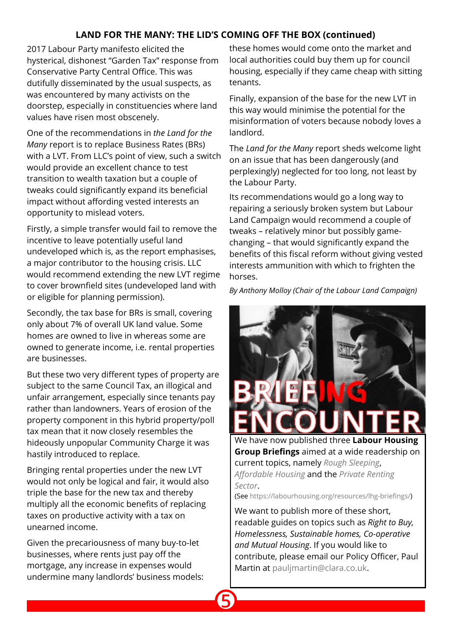#### **LAND FOR THE MANY: THE LID'S COMING OFF THE BOX (continued)**

**5**

2017 Labour Party manifesto elicited the hysterical, dishonest "Garden Tax" response from Conservative Party Central Office. This was dutifully disseminated by the usual suspects, as was encountered by many activists on the doorstep, especially in constituencies where land values have risen most obscenely.

One of the recommendations in *the Land for the Many* report is to replace Business Rates (BRs) with a LVT. From LLC's point of view, such a switch would provide an excellent chance to test transition to wealth taxation but a couple of tweaks could significantly expand its beneficial impact without affording vested interests an opportunity to mislead voters.

Firstly, a simple transfer would fail to remove the incentive to leave potentially useful land undeveloped which is, as the report emphasises, a major contributor to the housing crisis. LLC would recommend extending the new LVT regime to cover brownfield sites (undeveloped land with or eligible for planning permission).

Secondly, the tax base for BRs is small, covering only about 7% of overall UK land value. Some homes are owned to live in whereas some are owned to generate income, i.e. rental properties are businesses.

But these two very different types of property are subject to the same Council Tax, an illogical and unfair arrangement, especially since tenants pay rather than landowners. Years of erosion of the property component in this hybrid property/poll tax mean that it now closely resembles the hideously unpopular Community Charge it was hastily introduced to replace.

Bringing rental properties under the new LVT would not only be logical and fair, it would also triple the base for the new tax and thereby multiply all the economic benefits of replacing taxes on productive activity with a tax on unearned income.

Given the precariousness of many buy-to-let businesses, where rents just pay off the mortgage, any increase in expenses would undermine many landlords' business models: these homes would come onto the market and local authorities could buy them up for council housing, especially if they came cheap with sitting tenants.

Finally, expansion of the base for the new LVT in this way would minimise the potential for the misinformation of voters because nobody loves a landlord.

The *Land for the Many* report sheds welcome light on an issue that has been dangerously (and perplexingly) neglected for too long, not least by the Labour Party.

Its recommendations would go a long way to repairing a seriously broken system but Labour Land Campaign would recommend a couple of tweaks – relatively minor but possibly gamechanging – that would significantly expand the benefits of this fiscal reform without giving vested interests ammunition with which to frighten the horses.

*By Anthony Molloy (Chair of the Labour Land Campaign)*



We have now published three **Labour Housing Group Briefings** aimed at a wide readership on current topics, namely *[Rough Sleeping](https://labourhousing.org/wp-content/uploads/2019/07/LHG-Briefing-Rough-Sleeping-final.pdf)*, *[Affordable Housing](https://labourhousing.org/wp-content/uploads/2019/08/LHG-Briefing-Affordable-Homes-1.pdf)* and the *[Private Renting](https://labourhousing.org/wp-content/uploads/2019/10/LHG-Briefing-PRS-07-10-19.pdf) [Sector](https://labourhousing.org/wp-content/uploads/2019/10/LHG-Briefing-PRS-07-10-19.pdf)*.

(See [https://labourhousing.org/resources/lhg-briefings/\)](https://labourhousing.org/resources/lhg-briefings/)

We want to publish more of these short, readable guides on topics such as *Right to Buy, Homelessness, Sustainable homes, Co-operative and Mutual Housing*. If you would like to contribute, please email our Policy Officer, Paul Martin a[t pauljmartin@clara.co.uk](mailto:pauljmartin@clara.co.uk).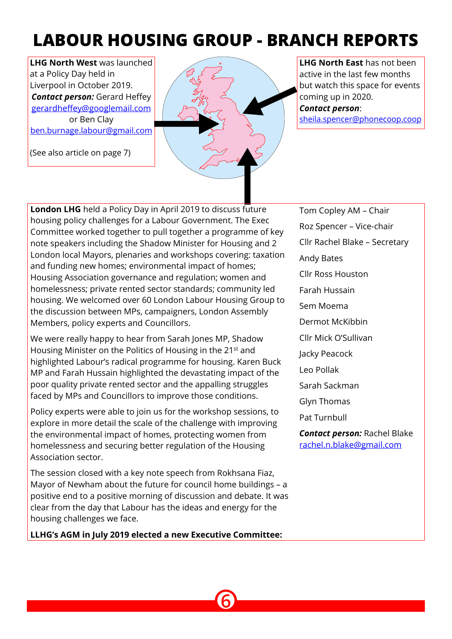# **LABOUR HOUSING GROUP - BRANCH REPORTS**

**LHG North West** was launched at a Policy Day held in Liverpool in October 2019. *Contact person: Gerard Heffey* gerardheffey@googlemail.com or Ben Clay ben.burnage.labour@gmail.com

(See also article on page 7)



**LHG North East** has not been active in the last few months but watch this space for events coming up in 2020. *Contact person*: sheila.spencer@phonecoop.coop

**London LHG** held a Policy Day in April 2019 to discuss future housing policy challenges for a Labour Government. The Exec Committee worked together to pull together a programme of key note speakers including the Shadow Minister for Housing and 2 London local Mayors, plenaries and workshops covering: taxation and funding new homes; environmental impact of homes; Housing Association governance and regulation; women and homelessness; private rented sector standards; community led housing. We welcomed over 60 London Labour Housing Group to the discussion between MPs, campaigners, London Assembly Members, policy experts and Councillors.

We were really happy to hear from Sarah Jones MP, Shadow Housing Minister on the Politics of Housing in the 21<sup>st</sup> and highlighted Labour's radical programme for housing. Karen Buck MP and Farah Hussain highlighted the devastating impact of the poor quality private rented sector and the appalling struggles faced by MPs and Councillors to improve those conditions.

Policy experts were able to join us for the workshop sessions, to explore in more detail the scale of the challenge with improving the environmental impact of homes, protecting women from homelessness and securing better regulation of the Housing Association sector.

The session closed with a key note speech from Rokhsana Fiaz, Mayor of Newham about the future for council home buildings – a positive end to a positive morning of discussion and debate. It was clear from the day that Labour has the ideas and energy for the housing challenges we face.

**LLHG's AGM in July 2019 elected a new Executive Committee:**

**6**

Tom Copley AM – Chair Roz Spencer – Vice-chair Cllr Rachel Blake – Secretary Andy Bates Cllr Ross Houston Farah Hussain Sem Moema Dermot McKibbin Cllr Mick O'Sullivan Jacky Peacock Leo Pollak Sarah Sackman Glyn Thomas Pat Turnbull *Contact person:* Rachel Blake rachel.n.blake@gmail.com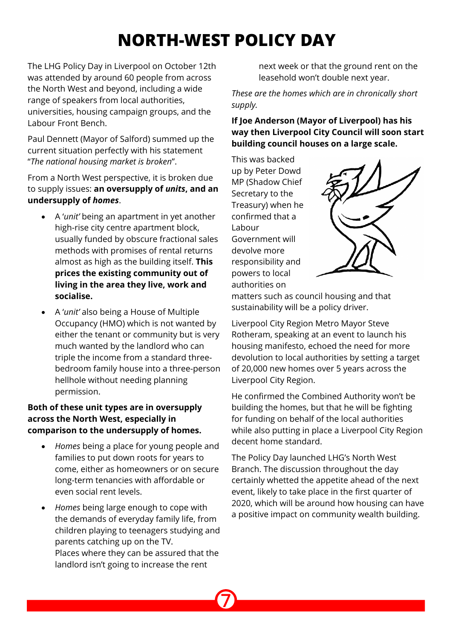# **NORTH-WEST POLICY DAY**

The LHG Policy Day in Liverpool on October 12th was attended by around 60 people from across the North West and beyond, including a wide range of speakers from local authorities, universities, housing campaign groups, and the Labour Front Bench.

Paul Dennett (Mayor of Salford) summed up the current situation perfectly with his statement "*The national housing market is broken*".

From a North West perspective, it is broken due to supply issues: **an oversupply of** *units***, and an undersupply of** *homes*.

- � A '*unit'* being an apartment in yet another high-rise city centre apartment block, usually funded by obscure fractional sales methods with promises of rental returns almost as high as the building itself. **This prices the existing community out of living in the area they live, work and socialise.**
- � A '*unit'* also being a House of Multiple Occupancy (HMO) which is not wanted by either the tenant or community but is very much wanted by the landlord who can triple the income from a standard threebedroom family house into a three-person hellhole without needing planning permission.

#### **Both of these unit types are in oversupply across the North West, especially in comparison to the undersupply of homes.**

- � *Homes* being a place for young people and families to put down roots for years to come, either as homeowners or on secure long-term tenancies with affordable or even social rent levels.
- � *Homes* being large enough to cope with the demands of everyday family life, from children playing to teenagers studying and parents catching up on the TV. Places where they can be assured that the landlord isn't going to increase the rent

next week or that the ground rent on the leasehold won't double next year.

*These are the homes which are in chronically short supply.*

**If Joe Anderson (Mayor of Liverpool) has his way then Liverpool City Council will soon start building council houses on a large scale.**

This was backed up by Peter Dowd MP (Shadow Chief Secretary to the Treasury) when he confirmed that a Labour Government will devolve more responsibility and powers to local authorities on



matters such as council housing and that sustainability will be a policy driver.

Liverpool City Region Metro Mayor Steve Rotheram, speaking at an event to launch his housing manifesto, echoed the need for more devolution to local authorities by setting a target of 20,000 new homes over 5 years across the Liverpool City Region.

He confirmed the Combined Authority won't be building the homes, but that he will be fighting for funding on behalf of the local authorities while also putting in place a Liverpool City Region decent home standard.

The Policy Day launched LHG's North West Branch. The discussion throughout the day certainly whetted the appetite ahead of the next event, likely to take place in the first quarter of 2020, which will be around how housing can have a positive impact on community wealth building.